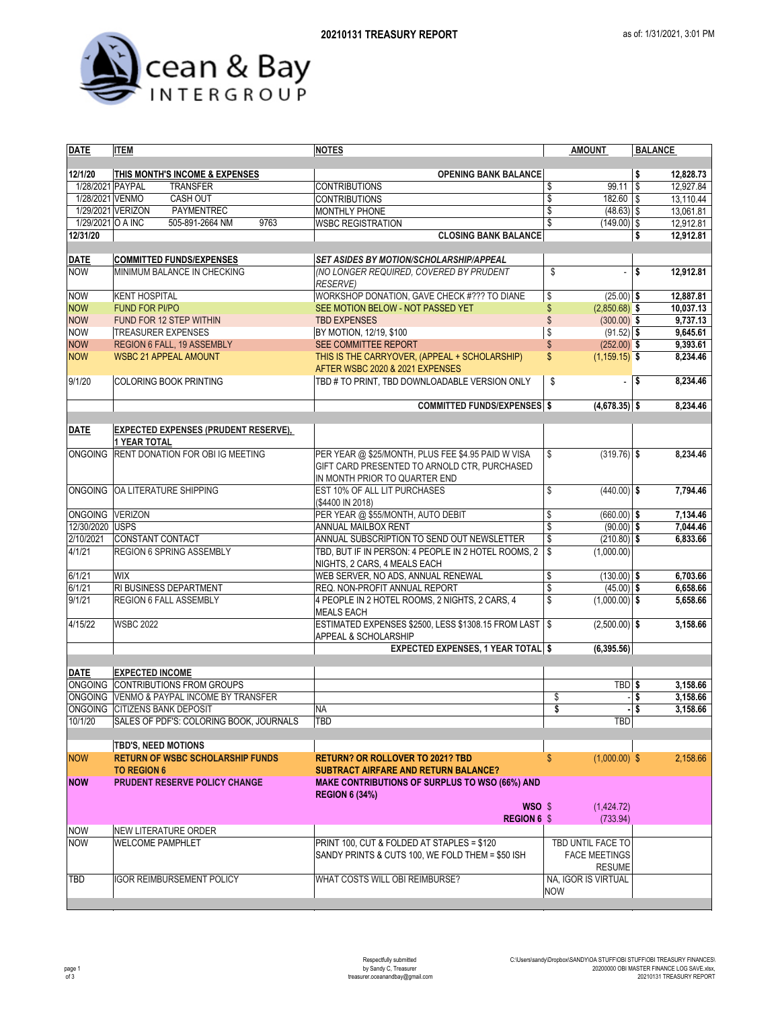



| <b>DATE</b>                          | <b>ITEM</b>                                                        | <b>NOTES</b>                                                                   | <b>AMOUNT</b>                            | <b>BALANCE</b>         |  |
|--------------------------------------|--------------------------------------------------------------------|--------------------------------------------------------------------------------|------------------------------------------|------------------------|--|
|                                      |                                                                    |                                                                                |                                          |                        |  |
| 12/1/20                              | THIS MONTH'S INCOME & EXPENSES                                     | <b>OPENING BANK BALANCE</b>                                                    |                                          | \$<br>12,828.73        |  |
| 1/28/2021 PAYPAL                     | <b>TRANSFER</b>                                                    | <b>CONTRIBUTIONS</b>                                                           | 99.11<br>\$                              | 12,927.84<br>\$        |  |
| 1/28/2021 VENMO<br>1/29/2021 VERIZON | CASH OUT<br>PAYMENTREC                                             | <b>CONTRIBUTIONS</b><br>MONTHLY PHONE                                          | \$<br>$182.60$ \$<br>\$<br>$(48.63)$ \$  | 13,110.44<br>13,061.81 |  |
| 1/29/2021 O A INC                    | 505-891-2664 NM<br>9763                                            | <b>WSBC REGISTRATION</b>                                                       | \$<br>$(149.00)$ \$                      | 12,912.81              |  |
| 12/31/20                             |                                                                    | <b>CLOSING BANK BALANCE</b>                                                    |                                          | \$<br>12,912.81        |  |
|                                      |                                                                    |                                                                                |                                          |                        |  |
| <b>DATE</b>                          | <b>COMMITTED FUNDS/EXPENSES</b>                                    | <b>SET ASIDES BY MOTION/SCHOLARSHIP/APPEAL</b>                                 |                                          |                        |  |
| <b>NOW</b>                           | MINIMUM BALANCE IN CHECKING                                        | (NO LONGER REQUIRED, COVERED BY PRUDENT                                        | \$<br>ä,                                 | \$<br>12,912.81        |  |
|                                      |                                                                    | <b>RESERVE)</b>                                                                |                                          |                        |  |
| <b>NOW</b>                           | <b>KENT HOSPITAL</b>                                               | WORKSHOP DONATION, GAVE CHECK #??? TO DIANE                                    | \$<br>$(25.00)$ \$                       | 12,887.81              |  |
| <b>NOW</b>                           | <b>FUND FOR PI/PO</b>                                              | SEE MOTION BELOW - NOT PASSED YET                                              | \$<br>$(2,850.68)$ \$                    | 10,037.13              |  |
| <b>NOW</b>                           | FUND FOR 12 STEP WITHIN                                            | <b>TBD EXPENSES</b>                                                            | \$<br>$(300.00)$ \$                      | 9,737.13               |  |
| <b>NOW</b>                           | <b>TREASURER EXPENSES</b>                                          | BY MOTION, 12/19, \$100                                                        | \$<br>$(91.52)$ \$                       | 9,645.61               |  |
| <b>NOW</b>                           | REGION 6 FALL, 19 ASSEMBLY                                         | SEE COMMITTEE REPORT                                                           | $\mathsf{\$}$<br>$(252.00)$ \$           | 9,393.61               |  |
| <b>NOW</b>                           | <b>WSBC 21 APPEAL AMOUNT</b>                                       | THIS IS THE CARRYOVER, (APPEAL + SCHOLARSHIP)                                  | \$<br>$(1, 159.15)$ \$                   | 8,234.46               |  |
|                                      |                                                                    | AFTER WSBC 2020 & 2021 EXPENSES                                                |                                          |                        |  |
| 9/1/20                               | <b>COLORING BOOK PRINTING</b>                                      | TBD # TO PRINT, TBD DOWNLOADABLE VERSION ONLY                                  | \$<br>$\overline{\phantom{a}}$           | 5<br>8,234.46          |  |
|                                      |                                                                    | <b>COMMITTED FUNDS/EXPENSES \$</b>                                             | $(4,678.35)$ \$                          | 8,234.46               |  |
|                                      |                                                                    |                                                                                |                                          |                        |  |
| <b>DATE</b>                          | <b>EXPECTED EXPENSES (PRUDENT RESERVE),</b><br><b>1 YEAR TOTAL</b> |                                                                                |                                          |                        |  |
| <b>ONGOING</b>                       | RENT DONATION FOR OBI IG MEETING                                   | PER YEAR @ \$25/MONTH, PLUS FEE \$4.95 PAID W VISA                             | $(319.76)$ \$<br>\$                      | 8,234.46               |  |
|                                      |                                                                    | GIFT CARD PRESENTED TO ARNOLD CTR, PURCHASED                                   |                                          |                        |  |
|                                      |                                                                    | IN MONTH PRIOR TO QUARTER END                                                  |                                          |                        |  |
|                                      | ONGOING OA LITERATURE SHIPPING                                     | EST 10% OF ALL LIT PURCHASES                                                   | \$<br>$(440.00)$ \$                      | 7,794.46               |  |
|                                      |                                                                    | (\$4400 IN 2018)                                                               |                                          |                        |  |
| ONGOING VERIZON                      |                                                                    | PER YEAR @ \$55/MONTH, AUTO DEBIT                                              | \$<br>$(660.00)$ \$                      | 7,134.46               |  |
| 12/30/2020 USPS                      |                                                                    | <b>ANNUAL MAILBOX RENT</b>                                                     | \$<br>$(90.00)$ \$                       | 7,044.46               |  |
| 2/10/2021                            | <b>CONSTANT CONTACT</b>                                            | ANNUAL SUBSCRIPTION TO SEND OUT NEWSLETTER                                     | \$<br>$(210.80)$ \$                      | 6,833.66               |  |
| 4/1/21                               | REGION 6 SPRING ASSEMBLY                                           | TBD, BUT IF IN PERSON: 4 PEOPLE IN 2 HOTEL ROOMS, 2                            | \$<br>(1,000.00)                         |                        |  |
| 6/1/21                               | WIX                                                                | NIGHTS, 2 CARS, 4 MEALS EACH<br>WEB SERVER, NO ADS, ANNUAL RENEWAL             | \$<br>$(130.00)$ \$                      | 6,703.66               |  |
| 6/1/21                               | RI BUSINESS DEPARTMENT                                             | REQ. NON-PROFIT ANNUAL REPORT                                                  | $\overline{\mathcal{S}}$<br>$(45.00)$ \$ | 6,658.66               |  |
| 9/1/21                               | REGION 6 FALL ASSEMBLY                                             | 4 PEOPLE IN 2 HOTEL ROOMS, 2 NIGHTS, 2 CARS, 4                                 | \$<br>$(1,000.00)$ \$                    | 5,658.66               |  |
|                                      |                                                                    | <b>MEALS EACH</b>                                                              |                                          |                        |  |
| 4/15/22                              | <b>WSBC 2022</b>                                                   | ESTIMATED EXPENSES \$2500, LESS \$1308.15 FROM LAST   \$                       | $(2,500.00)$ \$                          | 3,158.66               |  |
|                                      |                                                                    | APPEAL & SCHOLARSHIP                                                           |                                          |                        |  |
|                                      |                                                                    | <b>EXPECTED EXPENSES, 1 YEAR TOTAL \$</b>                                      | (6, 395.56)                              |                        |  |
|                                      |                                                                    |                                                                                |                                          |                        |  |
| <b>DATE</b>                          | <b>EXPECTED INCOME</b>                                             |                                                                                |                                          |                        |  |
|                                      | ONGOING CONTRIBUTIONS FROM GROUPS                                  |                                                                                | TBD \$                                   | 3,158.66               |  |
|                                      | ONGOING VENMO & PAYPAL INCOME BY TRANSFER                          |                                                                                | \$                                       | \$<br>3.158.66         |  |
|                                      | ONGOING CITIZENS BANK DEPOSIT                                      | <b>NA</b>                                                                      | \$                                       | \$<br>3,158.66         |  |
| 10/1/20                              | SALES OF PDF'S: COLORING BOOK, JOURNALS                            | TBD                                                                            | TBD                                      |                        |  |
|                                      | <b>TBD'S, NEED MOTIONS</b>                                         |                                                                                |                                          |                        |  |
| <b>NOW</b>                           | <b>RETURN OF WSBC SCHOLARSHIP FUNDS</b>                            | <b>RETURN? OR ROLLOVER TO 2021? TBD</b>                                        | $\mathsf{\$}$<br>$(1,000.00)$ \$         | 2,158.66               |  |
|                                      | <b>TO REGION 6</b>                                                 | <b>SUBTRACT AIRFARE AND RETURN BALANCE?</b>                                    |                                          |                        |  |
| <b>NOW</b>                           | PRUDENT RESERVE POLICY CHANGE                                      | <b>MAKE CONTRIBUTIONS OF SURPLUS TO WSO (66%) AND</b><br><b>REGION 6 (34%)</b> |                                          |                        |  |
|                                      |                                                                    | WSO \$                                                                         | (1,424.72)                               |                        |  |
|                                      |                                                                    | REGION 6 \$                                                                    | (733.94)                                 |                        |  |
| <b>NOW</b>                           | <b>NEW LITERATURE ORDER</b>                                        |                                                                                |                                          |                        |  |
| <b>NOW</b>                           | <b>WELCOME PAMPHLET</b>                                            | PRINT 100, CUT & FOLDED AT STAPLES = \$120                                     | TBD UNTIL FACE TO                        |                        |  |
|                                      |                                                                    | SANDY PRINTS & CUTS 100, WE FOLD THEM = \$50 ISH                               | <b>FACE MEETINGS</b>                     |                        |  |
|                                      |                                                                    |                                                                                | <b>RESUME</b>                            |                        |  |
| TBD                                  | IGOR REIMBURSEMENT POLICY                                          | WHAT COSTS WILL OBI REIMBURSE?                                                 | NA, IGOR IS VIRTUAL                      |                        |  |
|                                      |                                                                    |                                                                                | <b>NOW</b>                               |                        |  |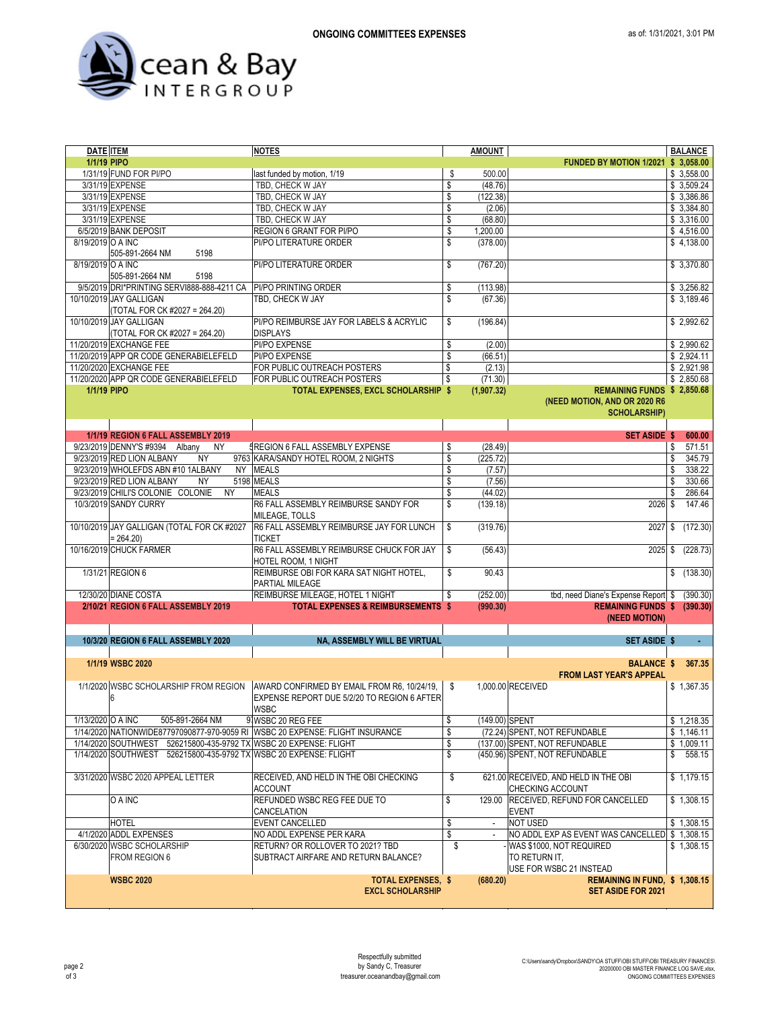

| <b>DATE ITEM</b>  |                                                                   | <b>NOTES</b>                                                                  |           | <b>AMOUNT</b>  |                                                |    | <b>BALANCE</b> |
|-------------------|-------------------------------------------------------------------|-------------------------------------------------------------------------------|-----------|----------------|------------------------------------------------|----|----------------|
| 1/1/19 PIPO       |                                                                   |                                                                               |           |                | FUNDED BY MOTION 1/2021 \$ 3,058.00            |    |                |
|                   | 1/31/19 FUND FOR PI/PO                                            | last funded by motion, 1/19                                                   | \$        | 500.00         |                                                |    | \$3,558.00     |
|                   | 3/31/19 EXPENSE                                                   | TBD, CHECK W JAY                                                              | \$        | (48.76)        |                                                |    | \$3,509.24     |
|                   | 3/31/19 EXPENSE                                                   | TBD, CHECK W JAY                                                              | \$        | (122.38)       |                                                |    | \$3,386.86     |
|                   | 3/31/19 EXPENSE                                                   | TBD, CHECK W JAY                                                              | \$        | (2.06)         |                                                |    | \$3,384.80     |
|                   |                                                                   |                                                                               |           |                |                                                |    |                |
|                   | 3/31/19 EXPENSE                                                   | TBD, CHECK W JAY                                                              | \$        | (68.80)        |                                                |    | \$3,316.00     |
|                   | 6/5/2019 BANK DEPOSIT                                             | REGION 6 GRANT FOR PI/PO                                                      | \$        | 1,200.00       |                                                |    | \$4,516.00     |
| 8/19/2019 O A INC |                                                                   | PI/PO LITERATURE ORDER                                                        | \$        | (378.00)       |                                                |    | \$4,138.00     |
|                   | 505-891-2664 NM<br>5198                                           |                                                                               |           |                |                                                |    |                |
| 8/19/2019 O A INC |                                                                   | PI/PO LITERATURE ORDER                                                        | \$        | (767.20)       |                                                |    | \$3,370.80     |
|                   | 505-891-2664 NM<br>5198                                           |                                                                               |           |                |                                                |    |                |
|                   |                                                                   |                                                                               |           |                |                                                |    |                |
|                   | 9/5/2019 DRI*PRINTING SERVI888-888-4211 CA                        | PI/PO PRINTING ORDER                                                          | \$        | (113.98)       |                                                |    | \$3,256.82     |
|                   | 10/10/2019 JAY GALLIGAN                                           | TBD, CHECK W JAY                                                              | \$        | (67.36)        |                                                |    | \$3,189.46     |
|                   | (TOTAL FOR CK #2027 = 264.20)                                     |                                                                               |           |                |                                                |    |                |
|                   | 10/10/2019 JAY GALLIGAN                                           | PI/PO REIMBURSE JAY FOR LABELS & ACRYLIC                                      | \$        | (196.84)       |                                                |    | \$2,992.62     |
|                   | (TOTAL FOR CK #2027 = 264.20)                                     | <b>DISPLAYS</b>                                                               |           |                |                                                |    |                |
|                   | 11/20/2019 EXCHANGE FEE                                           | PI/PO EXPENSE                                                                 | \$        | (2.00)         |                                                |    | \$2,990.62     |
|                   |                                                                   |                                                                               |           |                |                                                |    |                |
|                   | 11/20/2019 APP QR CODE GENERABIELEFELD                            | PI/PO EXPENSE                                                                 | \$        | (66.51)        |                                                |    | \$2,924.11     |
|                   | 11/20/2020 EXCHANGE FEE                                           | FOR PUBLIC OUTREACH POSTERS                                                   | \$        | (2.13)         |                                                |    | \$2,921.98     |
|                   | 11/20/2020 APP QR CODE GENERABIELEFELD                            | FOR PUBLIC OUTREACH POSTERS                                                   | \$        | (71.30)        |                                                |    | \$2,850.68     |
| 1/1/19 PIPO       |                                                                   | TOTAL EXPENSES, EXCL SCHOLARSHIP \$                                           |           | (1,907.32)     | REMAINING FUNDS \$ 2,850.68                    |    |                |
|                   |                                                                   |                                                                               |           |                | (NEED MOTION, AND OR 2020 R6                   |    |                |
|                   |                                                                   |                                                                               |           |                | <b>SCHOLARSHIP)</b>                            |    |                |
|                   |                                                                   |                                                                               |           |                |                                                |    |                |
|                   |                                                                   |                                                                               |           |                |                                                |    |                |
|                   | 1/1/19 REGION 6 FALL ASSEMBLY 2019                                |                                                                               |           |                | <b>SET ASIDE \$</b>                            |    | 600.00         |
|                   | 9/23/2019 DENNY'S #9394 Albany<br><b>NY</b>                       | <b>IREGION 6 FALL ASSEMBLY EXPENSE</b>                                        | \$        | (28.49)        |                                                | \$ | 571.51         |
|                   | 9/23/2019 RED LION ALBANY<br><b>NY</b>                            | 9763 KARA/SANDY HOTEL ROOM, 2 NIGHTS                                          | \$        | (225.72)       |                                                | \$ | 345.79         |
|                   | 9/23/2019 WHOLEFDS ABN #10 1ALBANY                                | NY MEALS                                                                      | \$        | (7.57)         |                                                | S. | 338.22         |
|                   | 9/23/2019 RED LION ALBANY                                         |                                                                               |           |                |                                                |    |                |
|                   | <b>NY</b>                                                         | 5198 MEALS                                                                    | \$        | (7.56)         |                                                | S. | 330.66         |
|                   | 9/23/2019 CHILI'S COLONIE COLONIE<br><b>NY</b>                    | <b>MEALS</b>                                                                  | \$        | (44.02)        |                                                | S. | 286.64         |
|                   | 10/3/2019 SANDY CURRY                                             | R6 FALL ASSEMBLY REIMBURSE SANDY FOR                                          | \$        | (139.18)       | 2026 \$                                        |    | 147.46         |
|                   |                                                                   | <b>MILEAGE. TOLLS</b>                                                         |           |                |                                                |    |                |
|                   | 10/10/2019 JAY GALLIGAN (TOTAL FOR CK #2027                       | R6 FALL ASSEMBLY REIMBURSE JAY FOR LUNCH                                      | \$        | (319.76)       | 2027                                           | \$ | (172.30)       |
|                   | $= 264.20$                                                        | <b>TICKET</b>                                                                 |           |                |                                                |    |                |
|                   |                                                                   |                                                                               |           |                |                                                |    |                |
|                   | 10/16/2019 CHUCK FARMER                                           | R6 FALL ASSEMBLY REIMBURSE CHUCK FOR JAY                                      | \$        | (56.43)        | 2025                                           | \$ | (228.73)       |
|                   |                                                                   | HOTEL ROOM, 1 NIGHT                                                           |           |                |                                                |    |                |
|                   | 1/31/21 REGION 6                                                  | REIMBURSE OBI FOR KARA SAT NIGHT HOTEL,                                       | \$        | 90.43          |                                                | \$ | (138.30)       |
|                   |                                                                   | PARTIAL MILEAGE                                                               |           |                |                                                |    |                |
|                   | 12/30/20 DIANE COSTA                                              | REIMBURSE MILEAGE, HOTEL 1 NIGHT                                              | \$        | (252.00)       | tbd, need Diane's Expense Report \$            |    | (390.30)       |
|                   | 2/10/21 REGION 6 FALL ASSEMBLY 2019                               | <b>TOTAL EXPENSES &amp; REIMBURSEMENTS \$</b>                                 |           |                | REMAINING FUNDS \$ (390.30)                    |    |                |
|                   |                                                                   |                                                                               |           | (990.30)       |                                                |    |                |
|                   |                                                                   |                                                                               |           |                | (NEED MOTION)                                  |    |                |
|                   |                                                                   |                                                                               |           |                |                                                |    |                |
|                   | 10/3/20 REGION 6 FALL ASSEMBLY 2020                               | NA, ASSEMBLY WILL BE VIRTUAL                                                  |           |                | <b>SET ASIDE \$</b>                            |    |                |
|                   |                                                                   |                                                                               |           |                |                                                |    |                |
|                   | 1/1/19 WSBC 2020                                                  |                                                                               |           |                | <b>BALANCE \$</b>                              |    | 367.35         |
|                   |                                                                   |                                                                               |           |                | <b>FROM LAST YEAR'S APPEAL</b>                 |    |                |
|                   |                                                                   |                                                                               |           |                |                                                |    |                |
|                   | 1/1/2020 WSBC SCHOLARSHIP FROM REGION                             | AWARD CONFIRMED BY EMAIL FROM R6, 10/24/19,                                   | \$        |                | 1,000.00 RECEIVED                              |    | \$1.367.35     |
|                   | 6                                                                 | EXPENSE REPORT DUE 5/2/20 TO REGION 6 AFTER                                   |           |                |                                                |    |                |
|                   |                                                                   | <b>WSBC</b>                                                                   |           |                |                                                |    |                |
| 1/13/2020 O A INC | 505-891-2664 NM                                                   | 9 WSBC 20 REG FEE                                                             | $\bullet$ | (149.00) SPENT |                                                |    | \$1,218.35     |
|                   |                                                                   | 1/14/2020 NATIONWIDE87797090877-970-9059 RI WSBC 20 EXPENSE: FLIGHT INSURANCE | \$        |                | (72.24) SPENT, NOT REFUNDABLE                  |    | \$1,146.11     |
|                   | 1/14/2020 SOUTHWEST 526215800-435-9792 TX WSBC 20 EXPENSE: FLIGHT |                                                                               |           |                | (137.00) SPENT, NOT REFUNDABLE                 |    | \$1,009.11     |
|                   |                                                                   |                                                                               | \$        |                |                                                |    |                |
|                   | 1/14/2020 SOUTHWEST 526215800-435-9792 TX WSBC 20 EXPENSE: FLIGHT |                                                                               | \$        |                | (450.96) SPENT, NOT REFUNDABLE                 |    | \$558.15       |
|                   |                                                                   |                                                                               |           |                |                                                |    |                |
|                   | 3/31/2020 WSBC 2020 APPEAL LETTER                                 | RECEIVED, AND HELD IN THE OBI CHECKING                                        | \$        |                | 621.00 RECEIVED, AND HELD IN THE OBI           |    | \$1,179.15     |
|                   |                                                                   | <b>ACCOUNT</b>                                                                |           |                | CHECKING ACCOUNT                               |    |                |
|                   | O A INC                                                           | REFUNDED WSBC REG FEE DUE TO                                                  | \$        | 129.00         | <b>RECEIVED, REFUND FOR CANCELLED</b>          |    | \$1,308.15     |
|                   |                                                                   |                                                                               |           |                |                                                |    |                |
|                   |                                                                   | CANCELATION                                                                   |           |                | <b>EVENT</b>                                   |    |                |
|                   | HOTEL                                                             | EVENT CANCELLED                                                               | \$        | $\blacksquare$ | <b>NOT USED</b>                                |    | \$1,308.15     |
|                   | 4/1/2020 ADDL EXPENSES                                            | NO ADDL EXPENSE PER KARA                                                      | \$        |                | NO ADDL EXP AS EVENT WAS CANCELLED \$ 1,308.15 |    |                |
|                   | 6/30/2020 WSBC SCHOLARSHIP                                        | RETURN? OR ROLLOVER TO 2021? TBD                                              | \$        |                | WAS \$1000, NOT REQUIRED                       |    | \$1,308.15     |
|                   | FROM REGION 6                                                     | SUBTRACT AIRFARE AND RETURN BALANCE?                                          |           |                | TO RETURN IT,                                  |    |                |
|                   |                                                                   |                                                                               |           |                | USE FOR WSBC 21 INSTEAD                        |    |                |
|                   |                                                                   |                                                                               |           |                |                                                |    |                |
|                   | <b>WSBC 2020</b>                                                  | <b>TOTAL EXPENSES, \$</b>                                                     |           | (680.20)       | REMAINING IN FUND, \$1,308.15                  |    |                |
|                   |                                                                   | <b>EXCL SCHOLARSHIP</b>                                                       |           |                | <b>SET ASIDE FOR 2021</b>                      |    |                |
|                   |                                                                   |                                                                               |           |                |                                                |    |                |